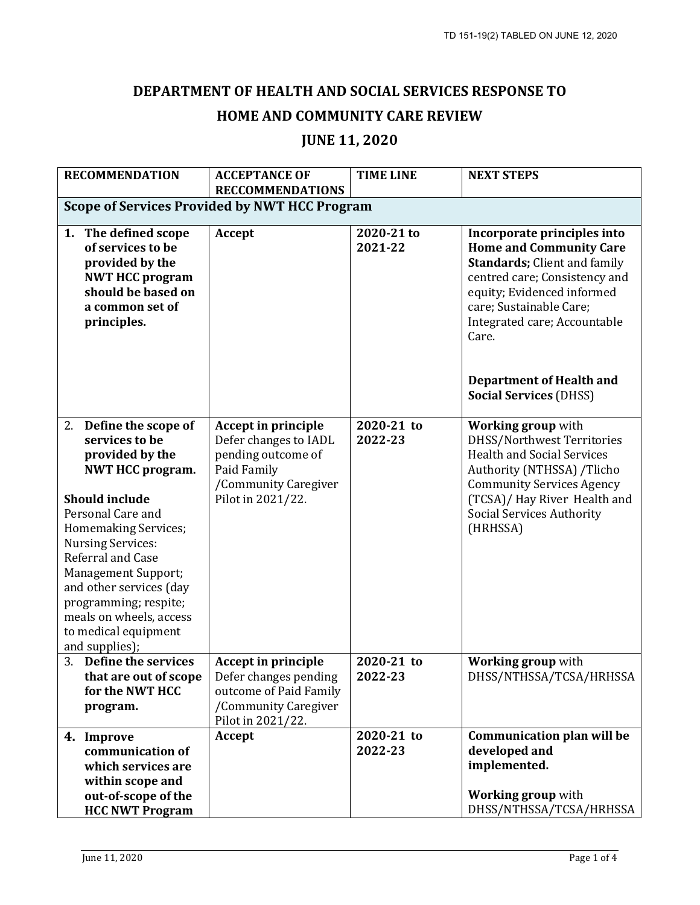## **DEPARTMENT OF HEALTH AND SOCIAL SERVICES RESPONSE TO HOME AND COMMUNITY CARE REVIEW**

## **JUNE 11, 2020**

| <b>RECOMMENDATION</b>                                                                                                                                                                                                                                                                                                                                                | <b>ACCEPTANCE OF</b><br><b>RECCOMMENDATIONS</b>                                                                                       | <b>TIME LINE</b>      | <b>NEXT STEPS</b>                                                                                                                                                                                                                                                                                           |  |  |
|----------------------------------------------------------------------------------------------------------------------------------------------------------------------------------------------------------------------------------------------------------------------------------------------------------------------------------------------------------------------|---------------------------------------------------------------------------------------------------------------------------------------|-----------------------|-------------------------------------------------------------------------------------------------------------------------------------------------------------------------------------------------------------------------------------------------------------------------------------------------------------|--|--|
| <b>Scope of Services Provided by NWT HCC Program</b>                                                                                                                                                                                                                                                                                                                 |                                                                                                                                       |                       |                                                                                                                                                                                                                                                                                                             |  |  |
| 1. The defined scope<br>of services to be<br>provided by the<br><b>NWT HCC program</b><br>should be based on<br>a common set of<br>principles.                                                                                                                                                                                                                       | Accept                                                                                                                                | 2020-21 to<br>2021-22 | Incorporate principles into<br><b>Home and Community Care</b><br><b>Standards; Client and family</b><br>centred care; Consistency and<br>equity; Evidenced informed<br>care; Sustainable Care;<br>Integrated care; Accountable<br>Care.<br><b>Department of Health and</b><br><b>Social Services (DHSS)</b> |  |  |
| 2. Define the scope of<br>services to be<br>provided by the<br><b>NWT HCC program.</b><br><b>Should include</b><br>Personal Care and<br><b>Homemaking Services;</b><br><b>Nursing Services:</b><br>Referral and Case<br>Management Support;<br>and other services (day<br>programming; respite;<br>meals on wheels, access<br>to medical equipment<br>and supplies); | <b>Accept in principle</b><br>Defer changes to IADL<br>pending outcome of<br>Paid Family<br>/Community Caregiver<br>Pilot in 2021/22. | 2020-21 to<br>2022-23 | <b>Working group with</b><br>DHSS/Northwest Territories<br><b>Health and Social Services</b><br>Authority (NTHSSA) /Tlicho<br><b>Community Services Agency</b><br>(TCSA)/ Hay River Health and<br><b>Social Services Authority</b><br>(HRHSSA)                                                              |  |  |
| 3.<br>Define the services<br>that are out of scope<br>for the NWT HCC<br>program.                                                                                                                                                                                                                                                                                    | <b>Accept in principle</b><br>Defer changes pending<br>outcome of Paid Family<br>/Community Caregiver<br>Pilot in 2021/22.            | 2020-21 to<br>2022-23 | <b>Working group with</b><br>DHSS/NTHSSA/TCSA/HRHSSA                                                                                                                                                                                                                                                        |  |  |
| 4. Improve<br>communication of<br>which services are<br>within scope and<br>out-of-scope of the<br><b>HCC NWT Program</b>                                                                                                                                                                                                                                            | Accept                                                                                                                                | 2020-21 to<br>2022-23 | <b>Communication plan will be</b><br>developed and<br>implemented.<br><b>Working group with</b><br>DHSS/NTHSSA/TCSA/HRHSSA                                                                                                                                                                                  |  |  |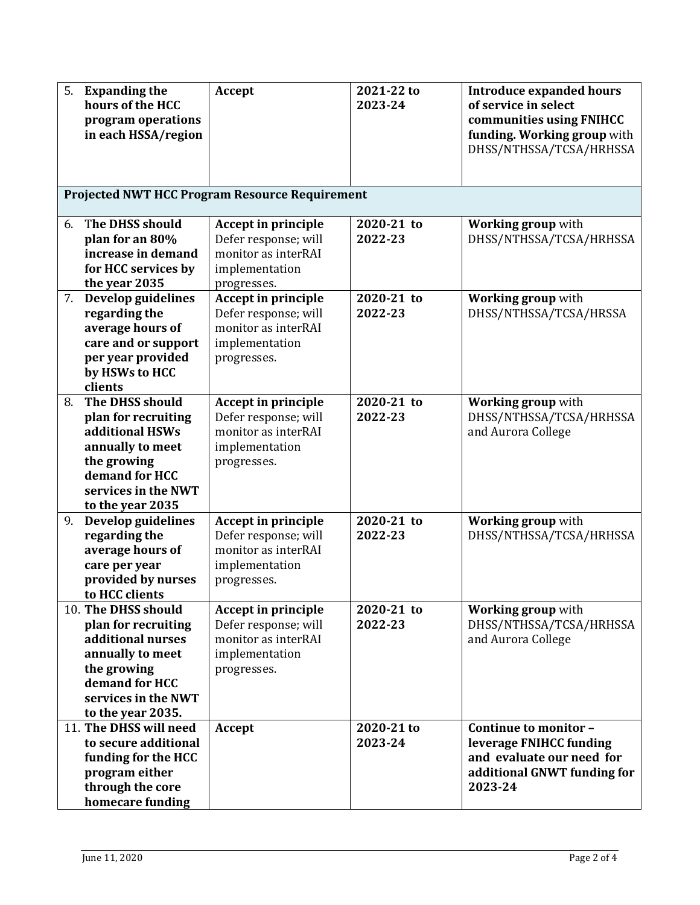| 5. | <b>Expanding the</b><br>hours of the HCC  | <b>Accept</b>                                         | 2021-22 to<br>2023-24 | <b>Introduce expanded hours</b><br>of service in select                            |
|----|-------------------------------------------|-------------------------------------------------------|-----------------------|------------------------------------------------------------------------------------|
|    | program operations<br>in each HSSA/region |                                                       |                       | communities using FNIHCC<br>funding. Working group with<br>DHSS/NTHSSA/TCSA/HRHSSA |
|    |                                           |                                                       |                       |                                                                                    |
|    |                                           | <b>Projected NWT HCC Program Resource Requirement</b> |                       |                                                                                    |
| 6. | The DHSS should                           | Accept in principle                                   | 2020-21 to            | <b>Working group with</b>                                                          |
|    | plan for an 80%                           | Defer response; will                                  | 2022-23               | DHSS/NTHSSA/TCSA/HRHSSA                                                            |
|    | increase in demand                        | monitor as interRAI                                   |                       |                                                                                    |
|    | for HCC services by                       | implementation                                        |                       |                                                                                    |
|    | the year 2035<br>7. Develop guidelines    | progresses.<br>Accept in principle                    | 2020-21 to            | Working group with                                                                 |
|    | regarding the                             | Defer response; will                                  | 2022-23               | DHSS/NTHSSA/TCSA/HRSSA                                                             |
|    | average hours of                          | monitor as interRAI                                   |                       |                                                                                    |
|    | care and or support                       | implementation                                        |                       |                                                                                    |
|    | per year provided                         | progresses.                                           |                       |                                                                                    |
|    | by HSWs to HCC                            |                                                       |                       |                                                                                    |
|    | clients                                   |                                                       |                       |                                                                                    |
| 8. | The DHSS should                           | <b>Accept in principle</b>                            | 2020-21 to            | <b>Working group with</b>                                                          |
|    | plan for recruiting                       | Defer response; will                                  | 2022-23               | DHSS/NTHSSA/TCSA/HRHSSA                                                            |
|    | additional HSWs                           | monitor as interRAI                                   |                       | and Aurora College                                                                 |
|    | annually to meet                          | implementation                                        |                       |                                                                                    |
|    | the growing<br>demand for HCC             | progresses.                                           |                       |                                                                                    |
|    | services in the NWT                       |                                                       |                       |                                                                                    |
|    | to the year 2035                          |                                                       |                       |                                                                                    |
| 9. | Develop guidelines                        | <b>Accept in principle</b>                            | 2020-21 to            | <b>Working group with</b>                                                          |
|    | regarding the                             | Defer response; will                                  | 2022-23               | DHSS/NTHSSA/TCSA/HRHSSA                                                            |
|    | average hours of                          | monitor as interRAI                                   |                       |                                                                                    |
|    | care per year                             | implementation                                        |                       |                                                                                    |
|    | provided by nurses                        | progresses.                                           |                       |                                                                                    |
|    | to HCC clients                            |                                                       |                       |                                                                                    |
|    | 10. The DHSS should                       | <b>Accept in principle</b>                            | 2020-21 to            | <b>Working group with</b>                                                          |
|    | plan for recruiting<br>additional nurses  | Defer response; will<br>monitor as interRAI           | 2022-23               | DHSS/NTHSSA/TCSA/HRHSSA<br>and Aurora College                                      |
|    | annually to meet                          | implementation                                        |                       |                                                                                    |
|    | the growing                               | progresses.                                           |                       |                                                                                    |
|    | demand for HCC                            |                                                       |                       |                                                                                    |
|    | services in the NWT                       |                                                       |                       |                                                                                    |
|    | to the year 2035.                         |                                                       |                       |                                                                                    |
|    | 11. The DHSS will need                    | Accept                                                | 2020-21 to            | Continue to monitor -                                                              |
|    | to secure additional                      |                                                       | 2023-24               | leverage FNIHCC funding                                                            |
|    | funding for the HCC                       |                                                       |                       | and evaluate our need for                                                          |
|    | program either                            |                                                       |                       | additional GNWT funding for                                                        |
|    | through the core                          |                                                       |                       | 2023-24                                                                            |
|    | homecare funding                          |                                                       |                       |                                                                                    |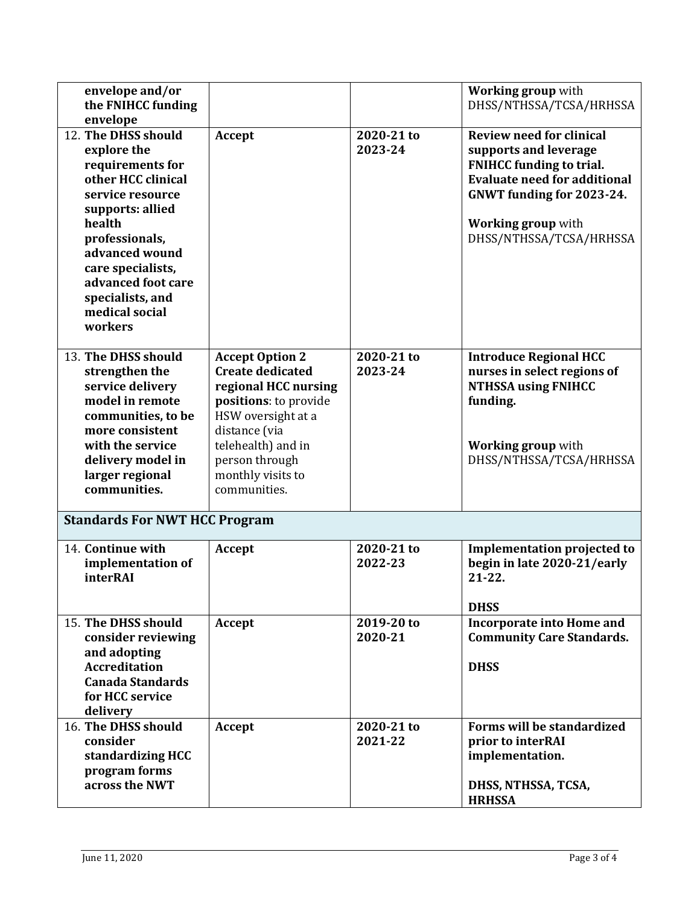| envelope and/or<br>the FNIHCC funding<br>envelope                                                                                                                                                                                                              |                                                                                                                                                                                                                        |                       | <b>Working group with</b><br>DHSS/NTHSSA/TCSA/HRHSSA                                                                                                                                                             |
|----------------------------------------------------------------------------------------------------------------------------------------------------------------------------------------------------------------------------------------------------------------|------------------------------------------------------------------------------------------------------------------------------------------------------------------------------------------------------------------------|-----------------------|------------------------------------------------------------------------------------------------------------------------------------------------------------------------------------------------------------------|
| 12. The DHSS should<br>explore the<br>requirements for<br>other HCC clinical<br>service resource<br>supports: allied<br>health<br>professionals,<br>advanced wound<br>care specialists,<br>advanced foot care<br>specialists, and<br>medical social<br>workers | Accept                                                                                                                                                                                                                 | 2020-21 to<br>2023-24 | <b>Review need for clinical</b><br>supports and leverage<br><b>FNIHCC funding to trial.</b><br><b>Evaluate need for additional</b><br>GNWT funding for 2023-24.<br>Working group with<br>DHSS/NTHSSA/TCSA/HRHSSA |
| 13. The DHSS should<br>strengthen the<br>service delivery<br>model in remote<br>communities, to be<br>more consistent<br>with the service<br>delivery model in<br>larger regional<br>communities.                                                              | <b>Accept Option 2</b><br><b>Create dedicated</b><br>regional HCC nursing<br>positions: to provide<br>HSW oversight at a<br>distance (via<br>telehealth) and in<br>person through<br>monthly visits to<br>communities. | 2020-21 to<br>2023-24 | <b>Introduce Regional HCC</b><br>nurses in select regions of<br><b>NTHSSA using FNIHCC</b><br>funding.<br><b>Working group with</b><br>DHSS/NTHSSA/TCSA/HRHSSA                                                   |
| <b>Standards For NWT HCC Program</b>                                                                                                                                                                                                                           |                                                                                                                                                                                                                        |                       |                                                                                                                                                                                                                  |
| 14. Continue with<br>implementation of<br>interRAI                                                                                                                                                                                                             | Accept                                                                                                                                                                                                                 | 2020-21 to<br>2022-23 | <b>Implementation projected to</b><br>begin in late 2020-21/early<br>$21 - 22$ .<br><b>DHSS</b>                                                                                                                  |
| 15. The DHSS should<br>consider reviewing<br>and adopting<br><b>Accreditation</b><br><b>Canada Standards</b><br>for HCC service<br>delivery                                                                                                                    | Accept                                                                                                                                                                                                                 | 2019-20 to<br>2020-21 | <b>Incorporate into Home and</b><br><b>Community Care Standards.</b><br><b>DHSS</b>                                                                                                                              |
| 16. The DHSS should<br>consider<br>standardizing HCC<br>program forms<br>across the NWT                                                                                                                                                                        | Accept                                                                                                                                                                                                                 | 2020-21 to<br>2021-22 | Forms will be standardized<br>prior to interRAI<br>implementation.<br>DHSS, NTHSSA, TCSA,<br><b>HRHSSA</b>                                                                                                       |